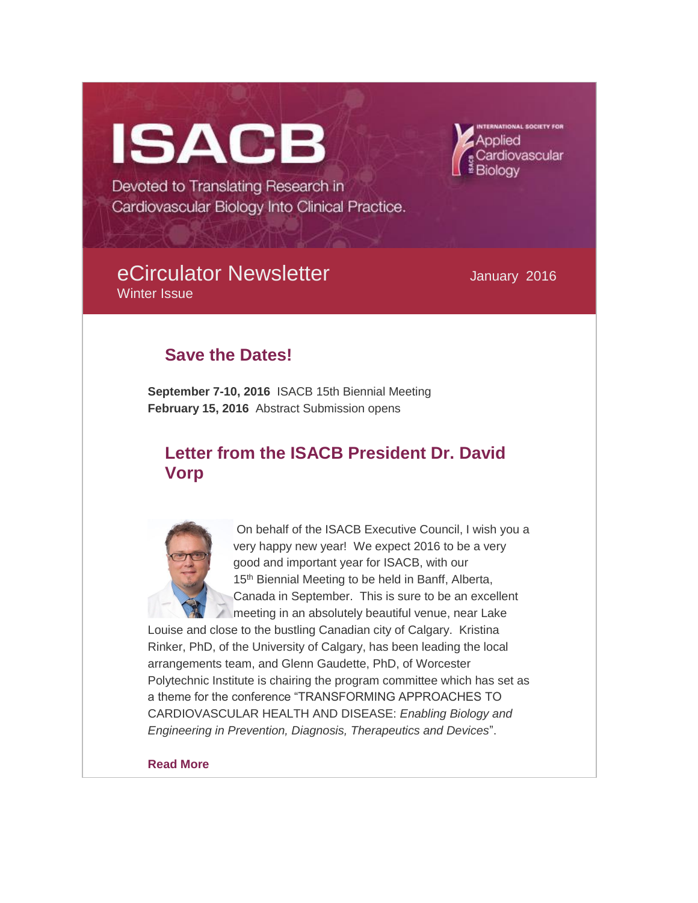# **ISACB**

**ATIONAL SOCIETY FOI** ardiovascular

Devoted to Translating Research in Cardiovascular Biology Into Clinical Practice.

# eCirculator Newsletter **Manuary 2016** Winter Issue

# **Save the Dates!**

**September 7-10, 2016** ISACB 15th Biennial Meeting **February 15, 2016** Abstract Submission opens

# **Letter from the ISACB President Dr. David Vorp**



On behalf of the ISACB Executive Council, I wish you a very happy new year! We expect 2016 to be a very good and important year for ISACB, with our 15<sup>th</sup> Biennial Meeting to be held in Banff, Alberta, Canada in September. This is sure to be an excellent meeting in an absolutely beautiful venue, near Lake

Louise and close to the bustling Canadian city of Calgary. Kristina Rinker, PhD, of the University of Calgary, has been leading the local arrangements team, and Glenn Gaudette, PhD, of Worcester Polytechnic Institute is chairing the program committee which has set as a theme for the conference "TRANSFORMING APPROACHES TO CARDIOVASCULAR HEALTH AND DISEASE: *Enabling Biology and Engineering in Prevention, Diagnosis, Therapeutics and Devices*".

#### **[Read More](http://isacb.org/letter-from-the-isacb-president)**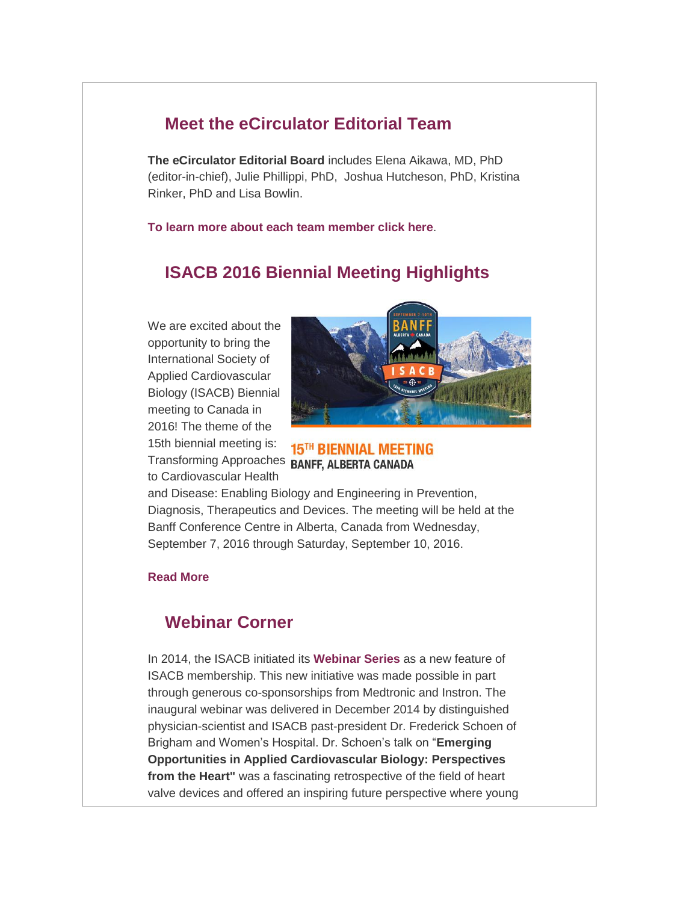## **Meet the eCirculator Editorial Team**

**The eCirculator Editorial Board** includes Elena Aikawa, MD, PhD (editor-in-chief), Julie Phillippi, PhD, Joshua Hutcheson, PhD, Kristina Rinker, PhD and Lisa Bowlin.

**[To learn more about each team member click here](http://isacb.org/about-the-ecirculator-editorial-team)**.

## **ISACB 2016 Biennial Meeting Highlights**

We are excited about the opportunity to bring the International Society of Applied Cardiovascular Biology (ISACB) Biennial meeting to Canada in 2016! The theme of the 15th biennial meeting is: Transforming Approaches BANFF, ALBERTA CANADA to Cardiovascular Health



**15TH BIENNIAL MEETING** 

and Disease: Enabling Biology and Engineering in Prevention, Diagnosis, Therapeutics and Devices. The meeting will be held at the Banff Conference Centre in Alberta, Canada from Wednesday, September 7, 2016 through Saturday, September 10, 2016.

#### **[Read More](http://isacb.org/2016-biennial-meeting-highlights)**

### **Webinar Corner**

In 2014, the ISACB initiated its **[Webinar Series](http://isacb.org/webinars)** as a new feature of ISACB membership. This new initiative was made possible in part through generous co-sponsorships from Medtronic and Instron. The inaugural webinar was delivered in December 2014 by distinguished physician-scientist and ISACB past-president Dr. Frederick Schoen of Brigham and Women's Hospital. Dr. Schoen's talk on "**Emerging Opportunities in Applied Cardiovascular Biology: Perspectives from the Heart"** was a fascinating retrospective of the field of heart valve devices and offered an inspiring future perspective where young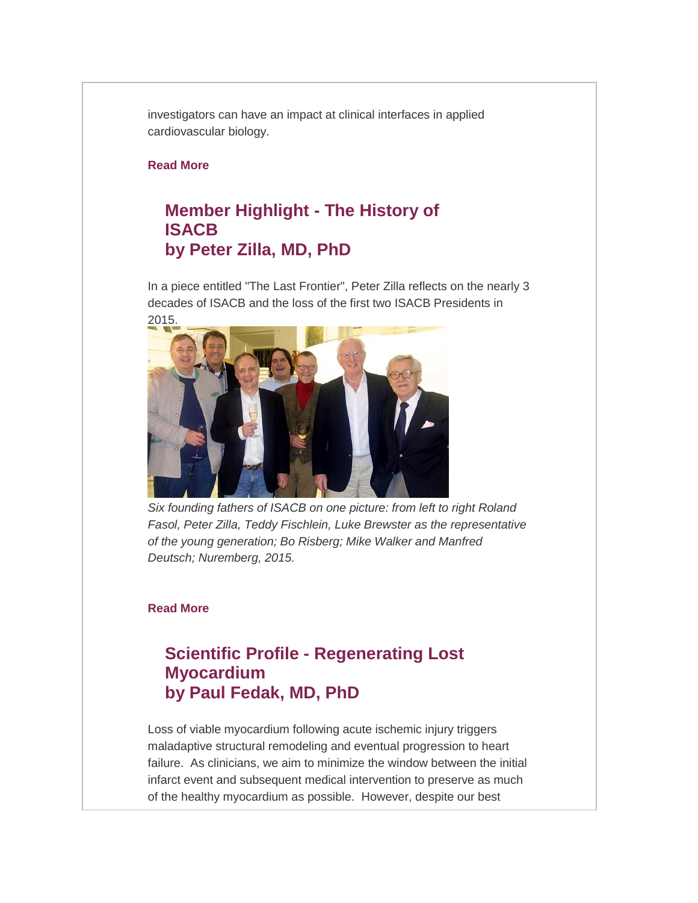investigators can have an impact at clinical interfaces in applied cardiovascular biology.

#### **[Read More](http://isacb.org/webinar-corner)**

# **Member Highlight - The History of ISACB by Peter Zilla, MD, PhD**

In a piece entitled "The Last Frontier", Peter Zilla reflects on the nearly 3 decades of ISACB and the loss of the first two ISACB Presidents in 2015.



*Six founding fathers of ISACB on one picture: from left to right Roland Fasol, Peter Zilla, Teddy Fischlein, Luke Brewster as the representative of the young generation; Bo Risberg; Mike Walker and Manfred Deutsch; Nuremberg, 2015.*

#### **[Read More](http://isacb.org/member-highlight-by-dr-peter-zilla)**

## **Scientific Profile - Regenerating Lost Myocardium by Paul Fedak, MD, PhD**

Loss of viable myocardium following acute ischemic injury triggers maladaptive structural remodeling and eventual progression to heart failure. As clinicians, we aim to minimize the window between the initial infarct event and subsequent medical intervention to preserve as much of the healthy myocardium as possible. However, despite our best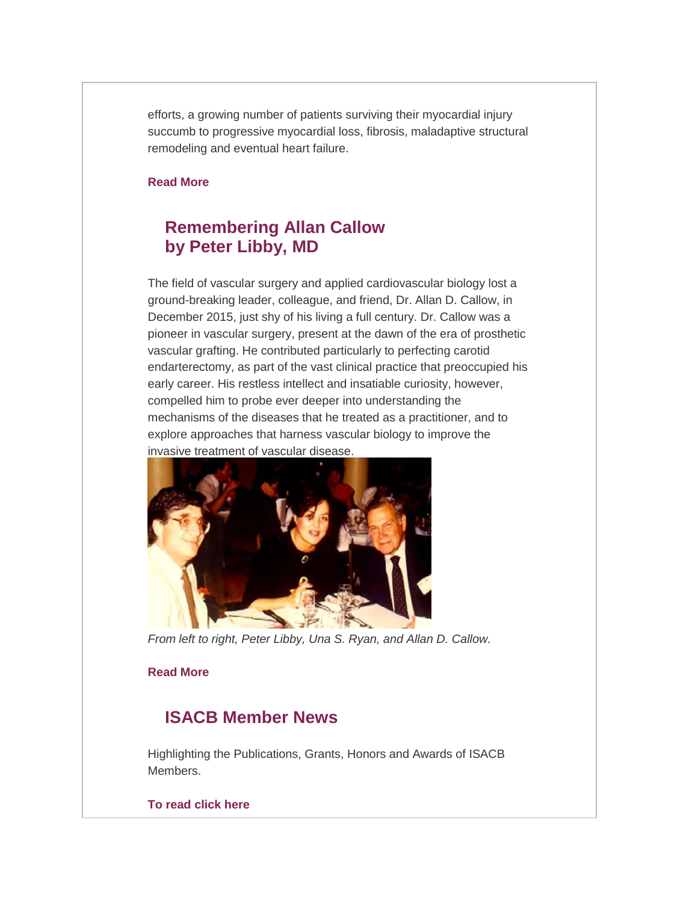efforts, a growing number of patients surviving their myocardial injury succumb to progressive myocardial loss, fibrosis, maladaptive structural remodeling and eventual heart failure.

#### **[Read More](http://isacb.org/scientific-profile-by-dr-paul-fadak)**

## **Remembering Allan Callow by Peter Libby, MD**

The field of vascular surgery and applied cardiovascular biology lost a ground-breaking leader, colleague, and friend, Dr. Allan D. Callow, in December 2015, just shy of his living a full century. Dr. Callow was a pioneer in vascular surgery, present at the dawn of the era of prosthetic vascular grafting. He contributed particularly to perfecting carotid endarterectomy, as part of the vast clinical practice that preoccupied his early career. His restless intellect and insatiable curiosity, however, compelled him to probe ever deeper into understanding the mechanisms of the diseases that he treated as a practitioner, and to explore approaches that harness vascular biology to improve the invasive treatment of vascular disease.



*From left to right, Peter Libby, Una S. Ryan, and Allan D. Callow.*

#### **[Read More](http://isacb.org/remembering-allan-callow-by-dr-peter-libby)**

## **ISACB Member News**

Highlighting the Publications, Grants, Honors and Awards of ISACB Members.

#### **[To read click here](http://isacb.org/member-news)**